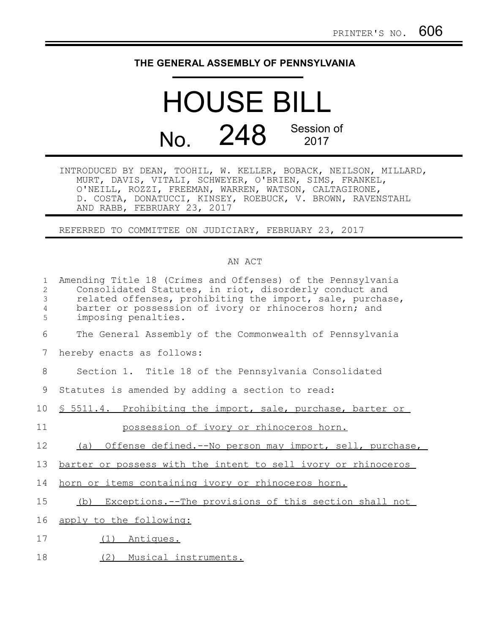## **THE GENERAL ASSEMBLY OF PENNSYLVANIA**

## HOUSE BILL No. 248 Session of 2017

INTRODUCED BY DEAN, TOOHIL, W. KELLER, BOBACK, NEILSON, MILLARD, MURT, DAVIS, VITALI, SCHWEYER, O'BRIEN, SIMS, FRANKEL, O'NEILL, ROZZI, FREEMAN, WARREN, WATSON, CALTAGIRONE, D. COSTA, DONATUCCI, KINSEY, ROEBUCK, V. BROWN, RAVENSTAHL AND RABB, FEBRUARY 23, 2017

REFERRED TO COMMITTEE ON JUDICIARY, FEBRUARY 23, 2017

## AN ACT

| $\mathbf{1}$<br>$\mathbf{2}$<br>$\mathsf 3$<br>$\overline{4}$<br>5 | Amending Title 18 (Crimes and Offenses) of the Pennsylvania<br>Consolidated Statutes, in riot, disorderly conduct and<br>related offenses, prohibiting the import, sale, purchase,<br>barter or possession of ivory or rhinoceros horn; and<br>imposing penalties. |
|--------------------------------------------------------------------|--------------------------------------------------------------------------------------------------------------------------------------------------------------------------------------------------------------------------------------------------------------------|
| 6                                                                  | The General Assembly of the Commonwealth of Pennsylvania                                                                                                                                                                                                           |
| 7                                                                  | hereby enacts as follows:                                                                                                                                                                                                                                          |
| 8                                                                  | Section 1. Title 18 of the Pennsylvania Consolidated                                                                                                                                                                                                               |
| 9                                                                  | Statutes is amended by adding a section to read:                                                                                                                                                                                                                   |
| 10                                                                 | \$ 5511.4. Prohibiting the import, sale, purchase, barter or                                                                                                                                                                                                       |
| 11                                                                 | possession of ivory or rhinoceros horn.                                                                                                                                                                                                                            |
| 12                                                                 | (a) Offense defined.--No person may import, sell, purchase,                                                                                                                                                                                                        |
| 13                                                                 | barter or possess with the intent to sell ivory or rhinoceros                                                                                                                                                                                                      |
| 14                                                                 | horn or items containing ivory or rhinoceros horn.                                                                                                                                                                                                                 |
| 15                                                                 | Exceptions.--The provisions of this section shall not<br>(b)                                                                                                                                                                                                       |
| 16                                                                 | apply to the following:                                                                                                                                                                                                                                            |
| 17                                                                 | (1) Antiques.                                                                                                                                                                                                                                                      |
| 18                                                                 | (2) Musical instruments.                                                                                                                                                                                                                                           |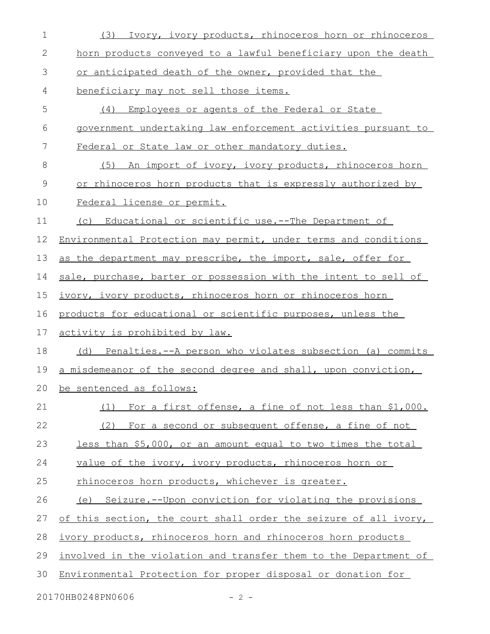| $\mathbf 1$  | Ivory, ivory products, rhinoceros horn or rhinoceros<br>(3)      |
|--------------|------------------------------------------------------------------|
| $\mathbf{2}$ | horn products conveyed to a lawful beneficiary upon the death    |
| 3            | or anticipated death of the owner, provided that the             |
| 4            | beneficiary may not sell those items.                            |
| 5            | Employees or agents of the Federal or State<br>(4)               |
| 6            | government undertaking law enforcement activities pursuant to    |
| 7            | Federal or State law or other mandatory duties.                  |
| 8            | An import of ivory, ivory products, rhinoceros horn<br>(5)       |
| $\mathsf 9$  | or rhinoceros horn products that is expressly authorized by      |
| 10           | Federal license or permit.                                       |
| 11           | (c) Educational or scientific use.--The Department of            |
| 12           | Environmental Protection may permit, under terms and conditions  |
| 13           | as the department may prescribe, the import, sale, offer for     |
| 14           | sale, purchase, barter or possession with the intent to sell of  |
| 15           | ivory, ivory products, rhinoceros horn or rhinoceros horn        |
| 16           | products for educational or scientific purposes, unless the      |
| 17           | activity is prohibited by law.                                   |
| 18           | (d) Penalties.--A person who violates subsection (a) commits     |
| 19           | a misdemeanor of the second degree and shall, upon conviction,   |
| 20           | be sentenced as follows:                                         |
| 21           | For a first offense, a fine of not less than \$1,000.<br>(1)     |
| 22           | (2)<br>For a second or subsequent offense, a fine of not         |
| 23           | less than \$5,000, or an amount equal to two times the total     |
| 24           | value of the ivory, ivory products, rhinoceros horn or           |
| 25           | rhinoceros horn products, whichever is greater.                  |
| 26           | (e) Seizure.--Upon conviction for violating the provisions       |
| 27           | of this section, the court shall order the seizure of all ivory, |
| 28           | ivory products, rhinoceros horn and rhinoceros horn products     |
| 29           | involved in the violation and transfer them to the Department of |
| 30           | Environmental Protection for proper disposal or donation for     |
|              | 20170HB0248PN0606<br>$-2 -$                                      |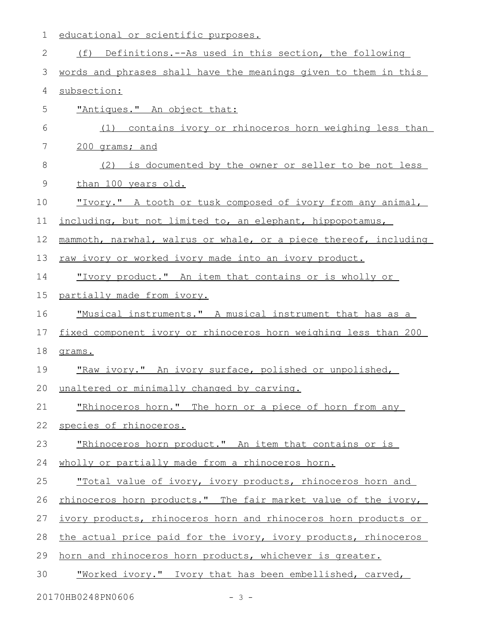| $\mathbf 1$ | educational or scientific purposes.                              |
|-------------|------------------------------------------------------------------|
| 2           | (f) Definitions.--As used in this section, the following         |
| 3           | words and phrases shall have the meanings given to them in this  |
| 4           | subsection:                                                      |
| 5           | "Antiques." An object that:                                      |
| 6           | (1) contains ivory or rhinoceros horn weighing less than         |
| 7           | 200 grams; and                                                   |
| 8           | is documented by the owner or seller to be not less<br>(2)       |
| 9           | than 100 years old.                                              |
| 10          | "Ivory." A tooth or tusk composed of ivory from any animal,      |
| 11          | including, but not limited to, an elephant, hippopotamus,        |
| 12          | mammoth, narwhal, walrus or whale, or a piece thereof, including |
| 13          | raw ivory or worked ivory made into an ivory product.            |
| 14          | "Ivory product." An item that contains or is wholly or           |
| 15          | partially made from ivory.                                       |
| 16          | "Musical instruments." A musical instrument that has as a        |
| 17          | fixed component ivory or rhinoceros horn weighing less than 200  |
| 18          | grams.                                                           |
| 19          | "Raw ivory." An ivory surface, polished or unpolished,           |
| 20          | unaltered or minimally changed by carving.                       |
| 21          | "Rhinoceros horn." The horn or a piece of horn from any          |
| 22          | species of rhinoceros.                                           |
| 23          | <u>"Rhinoceros horn product." An item that contains or is </u>   |
| 24          | wholly or partially made from a rhinoceros horn.                 |
| 25          | "Total value of ivory, ivory products, rhinoceros horn and       |
| 26          | rhinoceros horn products." The fair market value of the ivory,   |
| 27          | ivory products, rhinoceros horn and rhinoceros horn products or  |
| 28          | the actual price paid for the ivory, ivory products, rhinoceros  |
| 29          | horn and rhinoceros horn products, whichever is greater.         |
| 30          | "Worked ivory." Ivory that has been embellished, carved,         |
|             |                                                                  |

20170HB0248PN0606 - 3 -